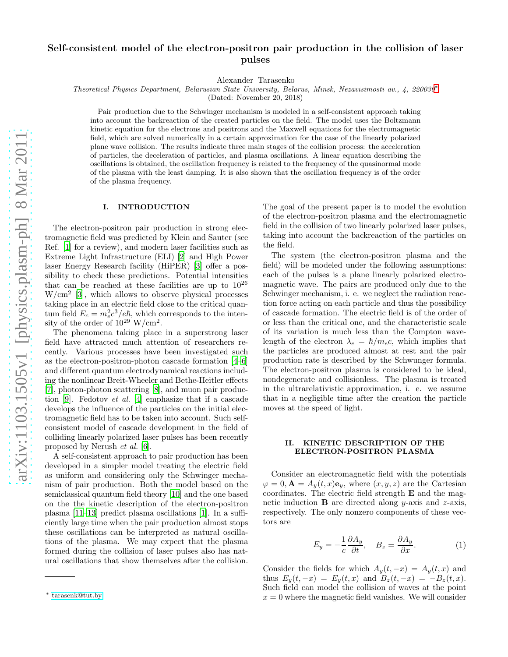# Self-consistent model of the electron-positron pair production in the collision of laser pulses

Alexander Tarasenko

Theoretical Physics Department, Belarusian State University, Belarus, Minsk, Nezavisimosti av., 4, 220030[∗](#page-0-0)

(Dated: November 20, 2018)

Pair production due to the Schwinger mechanism is modeled in a self-consistent approach taking into account the backreaction of the created particles on the field. The model uses the Boltzmann kinetic equation for the electrons and positrons and the Maxwell equations for the electromagnetic field, which are solved numerically in a certain approximation for the case of the linearly polarized plane wave collision. The results indicate three main stages of the collision process: the acceleration of particles, the deceleration of particles, and plasma oscillations. A linear equation describing the oscillations is obtained, the oscillation frequency is related to the frequency of the quasinormal mode of the plasma with the least damping. It is also shown that the oscillation frequency is of the order of the plasma frequency.

#### I. INTRODUCTION

The electron-positron pair production in strong electromagnetic field was predicted by Klein and Sauter (see Ref. [\[1\]](#page-6-0) for a review), and modern laser facilities such as Extreme Light Infrastructure (ELI) [\[2\]](#page-6-1) and High Power laser Energy Research facility (HiPER) [\[3](#page-6-2)] offer a possibility to check these predictions. Potential intensities that can be reached at these facilities are up to  $10^{26}$ W/cm<sup>2</sup> [\[3\]](#page-6-2), which allows to observe physical processes taking place in an electric field close to the critical quantum field  $E_c = m_e^2 c^3 / e \hbar$ , which corresponds to the intensity of the order of  $10^{29}$  W/cm<sup>2</sup>.

The phenomena taking place in a superstrong laser field have attracted much attention of researchers recently. Various processes have been investigated such as the electron-positron-photon cascade formation [\[4](#page-6-3)[–6](#page-6-4)] and different quantum electrodynamical reactions including the nonlinear Breit-Wheeler and Bethe-Heitler effects [\[7\]](#page-6-5), photon-photon scattering [\[8\]](#page-6-6), and muon pair production [\[9](#page-6-7)]. Fedotov et al. [\[4](#page-6-3)] emphasize that if a cascade develops the influence of the particles on the initial electromagnetic field has to be taken into account. Such selfconsistent model of cascade development in the field of colliding linearly polarized laser pulses has been recently proposed by Nerush et al. [\[6\]](#page-6-4).

A self-consistent approach to pair production has been developed in a simpler model treating the electric field as uniform and considering only the Schwinger mechanism of pair production. Both the model based on the semiclassical quantum field theory [\[10\]](#page-6-8) and the one based on the the kinetic description of the electron-positron plasma [\[11](#page-6-9)[–13\]](#page-6-10) predict plasma oscillations [\[1\]](#page-6-0). In a sufficiently large time when the pair production almost stops these oscillations can be interpreted as natural oscillations of the plasma. We may expect that the plasma formed during the collision of laser pulses also has natural oscillations that show themselves after the collision.

The goal of the present paper is to model the evolution of the electron-positron plasma and the electromagnetic field in the collision of two linearly polarized laser pulses, taking into account the backreaction of the particles on the field.

The system (the electron-positron plasma and the field) will be modeled under the following assumptions: each of the pulses is a plane linearly polarized electromagnetic wave. The pairs are produced only due to the Schwinger mechanism, i. e. we neglect the radiation reaction force acting on each particle and thus the possibility of cascade formation. The electric field is of the order of or less than the critical one, and the characteristic scale of its variation is much less than the Compton wavelength of the electron  $\lambda_e = \hbar/m_e c$ , which implies that the particles are produced almost at rest and the pair production rate is described by the Schwunger formula. The electron-positron plasma is considered to be ideal, nondegenerate and collisionless. The plasma is treated in the ultrarelativistic approximation, i. e. we assume that in a negligible time after the creation the particle moves at the speed of light.

### II. KINETIC DESCRIPTION OF THE ELECTRON-POSITRON PLASMA

Consider an electromagnetic field with the potentials  $\varphi = 0, \mathbf{A} = A_y(t, x) \mathbf{e}_y$ , where  $(x, y, z)$  are the Cartesian coordinates. The electric field strength E and the magnetic induction  $\bf{B}$  are directed along y-axis and z-axis, respectively. The only nonzero components of these vectors are

<span id="page-0-1"></span>
$$
E_y = -\frac{1}{c} \frac{\partial A_y}{\partial t}, \quad B_z = \frac{\partial A_y}{\partial x}.
$$
 (1)

Consider the fields for which  $A_y(t, -x) = A_y(t, x)$  and thus  $E_y(t, -x) = E_y(t, x)$  and  $B_z(t, -x) = -B_z(t, x)$ . Such field can model the collision of waves at the point  $x = 0$  where the magnetic field vanishes. We will consider

<span id="page-0-0"></span><sup>∗</sup> [tarasenk@tut.by](mailto:tarasenk@tut.by)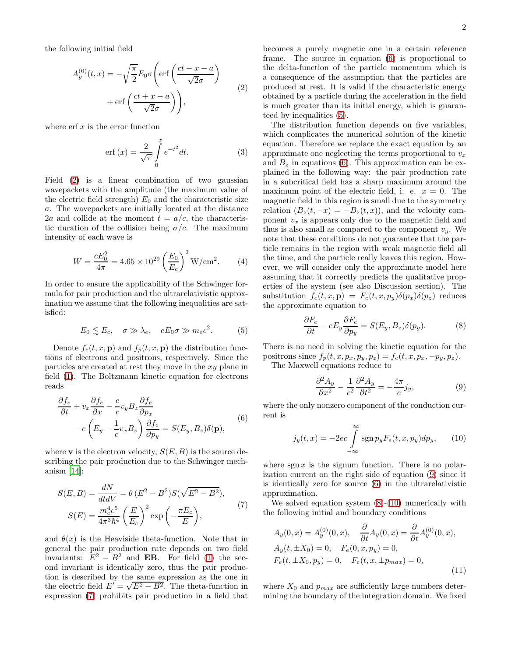the following initial field

<span id="page-1-0"></span>
$$
A_y^{(0)}(t,x) = -\sqrt{\frac{\pi}{2}} E_0 \sigma \left( \text{erf}\left(\frac{ct - x - a}{\sqrt{2}\sigma}\right) + \text{erf}\left(\frac{ct + x - a}{\sqrt{2}\sigma}\right) \right),\tag{2}
$$

where  $\operatorname{erf} x$  is the error function

$$
\operatorname{erf}(x) = \frac{2}{\sqrt{\pi}} \int_{0}^{x} e^{-t^2} dt.
$$
 (3)

Field [\(2\)](#page-1-0) is a linear combination of two gaussian wavepackets with the amplitude (the maximum value of the electric field strength)  $E_0$  and the characteristic size σ. The wavepackets are initially located at the distance 2a and collide at the moment  $t = a/c$ , the characteristic duration of the collision being  $\sigma/c$ . The maximum intensity of each wave is

<span id="page-1-7"></span>
$$
W = \frac{cE_0^2}{4\pi} = 4.65 \times 10^{29} \left(\frac{E_0}{E_c}\right)^2 \text{W/cm}^2.
$$
 (4)

In order to ensure the applicability of the Schwinger formula for pair production and the ultrarelativistic approximation we assume that the following inequalities are satisfied:

<span id="page-1-3"></span>
$$
E_0 \lesssim E_c, \quad \sigma \gg \lambda_e, \quad eE_0 \sigma \gg m_e c^2. \tag{5}
$$

Denote  $f_e(t, x, \mathbf{p})$  and  $f_p(t, x, \mathbf{p})$  the distribution functions of electrons and positrons, respectively. Since the particles are created at rest they move in the xy plane in field [\(1\)](#page-0-1). The Boltzmann kinetic equation for electrons reads

<span id="page-1-2"></span>
$$
\frac{\partial f_e}{\partial t} + v_x \frac{\partial f_e}{\partial x} - \frac{e}{c} v_y B_z \frac{\partial f_e}{\partial p_x} \n- e \left( E_y - \frac{1}{c} v_x B_z \right) \frac{\partial f_e}{\partial p_y} = S(E_y, B_z) \delta(\mathbf{p}),
$$
\n(6)

where **v** is the electron velocity,  $S(E, B)$  is the source describing the pair production due to the Schwinger mechanism  $[14]$ :

<span id="page-1-1"></span>
$$
S(E,B) = \frac{dN}{dtdV} = \theta (E^2 - B^2)S(\sqrt{E^2 - B^2}),
$$
  

$$
S(E) = \frac{m_e^4 c^5}{4\pi^3 \hbar^4} \left(\frac{E}{E_c}\right)^2 \exp\left(-\frac{\pi E_c}{E}\right),
$$
 (7)

and  $\theta(x)$  is the Heaviside theta-function. Note that in general the pair production rate depends on two field invariants:  $E^2 - B^2$  and **EB**. For field [\(1\)](#page-0-1) the second invariant is identically zero, thus the pair production is described by the same expression as the one in the electric field  $E' = \sqrt{E^2 - B^2}$ . The theta-function in expression [\(7\)](#page-1-1) prohibits pair production in a field that

becomes a purely magnetic one in a certain reference frame. The source in equation [\(6\)](#page-1-2) is proportional to the delta-function of the particle momentum which is a consequence of the assumption that the particles are produced at rest. It is valid if the characteristic energy obtained by a particle during the acceleration in the field is much greater than its initial energy, which is guaranteed by inequalities [\(5\)](#page-1-3).

The distribution function depends on five variables, which complicates the numerical solution of the kinetic equation. Therefore we replace the exact equation by an approximate one neglecting the terms proportional to  $v_x$ and  $B_z$  in equations [\(6\)](#page-1-2). This approximation can be explained in the following way: the pair production rate in a subcritical field has a sharp maximum around the maximum point of the electric field, i. e.  $x = 0$ . The magnetic field in this region is small due to the symmetry relation  $(B_z(t, -x) = -B_z(t, x))$ , and the velocity component  $v_x$  is appears only due to the magnetic field and thus is also small as compared to the component  $v_y$ . We note that these conditions do not guarantee that the particle remains in the region with weak magnetic field all the time, and the particle really leaves this region. However, we will consider only the approximate model here assuming that it correctly predicts the qualitative properties of the system (see also Discussion section). The substitution  $f_e(t, x, \mathbf{p}) = F_e(t, x, p_y) \delta(p_x) \delta(p_z)$  reduces the approximate equation to

<span id="page-1-5"></span>
$$
\frac{\partial F_e}{\partial t} - eE_y \frac{\partial F_e}{\partial p_y} = S(E_y, B_z) \delta(p_y).
$$
 (8)

There is no need in solving the kinetic equation for the positrons since  $f_p(t, x, p_x, p_y, p_z) = f_e(t, x, p_x, -p_y, p_z).$ The Maxwell equations reduce to

<span id="page-1-4"></span>
$$
\frac{\partial^2 A_y}{\partial x^2} - \frac{1}{c^2} \frac{\partial^2 A_y}{\partial t^2} = -\frac{4\pi}{c} j_y,\tag{9}
$$

where the only nonzero component of the conduction current is

<span id="page-1-6"></span>
$$
j_y(t,x) = -2ec \int_{-\infty}^{\infty} \text{sgn } p_y F_e(t,x,p_y) dp_y, \qquad (10)
$$

where  $sgn x$  is the signum function. There is no polarization current on the right side of equation [\(9\)](#page-1-4) since it is identically zero for source [\(6\)](#page-1-2) in the ultrarelativistic approximation.

We solved equation system [\(8\)](#page-1-5)-[\(10\)](#page-1-6) numerically with the following initial and boundary conditions

$$
A_y(0, x) = A_y^{(0)}(0, x), \quad \frac{\partial}{\partial t} A_y(0, x) = \frac{\partial}{\partial t} A_y^{(0)}(0, x),
$$
  
\n
$$
A_y(t, \pm X_0) = 0, \quad F_e(0, x, p_y) = 0,
$$
  
\n
$$
F_e(t, \pm X_0, p_y) = 0, \quad F_e(t, x, \pm p_{max}) = 0,
$$
\n(11)

where  $X_0$  and  $p_{max}$  are sufficiently large numbers determining the boundary of the integration domain. We fixed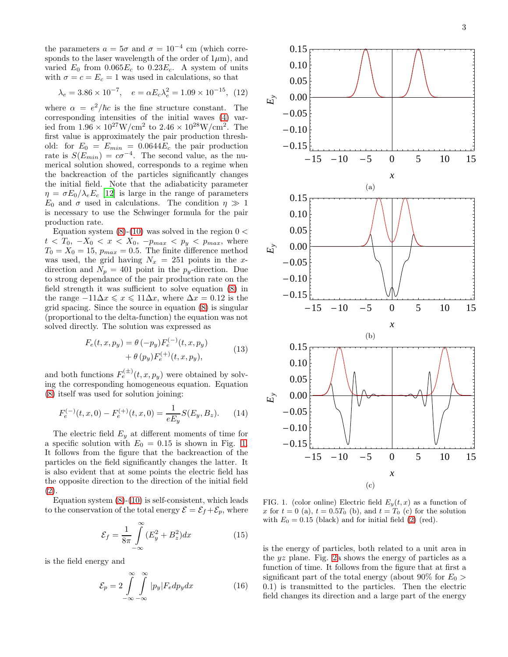the parameters  $a = 5\sigma$  and  $\sigma = 10^{-4}$  cm (which corresponds to the laser wavelength of the order of  $1\mu$ m), and varied  $E_0$  from  $0.065E_c$  to  $0.23E_c$ . A system of units with  $\sigma = c = E_c = 1$  was used in calculations, so that

$$
\lambda_e = 3.86 \times 10^{-7}
$$
,  $e = \alpha E_c \lambda_e^2 = 1.09 \times 10^{-15}$ , (12)

where  $\alpha = e^2/\hbar c$  is the fine structure constant. The corresponding intensities of the initial waves [\(4\)](#page-1-7) varied from  $1.96 \times 10^{27} \text{W/cm}^2$  to  $2.46 \times 10^{28} \text{W/cm}^2$ . The first value is approximately the pair production threshold: for  $E_0 = E_{min} = 0.0644E_c$  the pair production rate is  $S(E_{min}) = c\sigma^{-4}$ . The second value, as the numerical solution showed, corresponds to a regime when the backreaction of the particles significantly changes the initial field. Note that the adiabaticity parameter  $\eta = \sigma E_0 / \lambda_e E_c$  [\[12\]](#page-6-12) is large in the range of parameters  $E_0$  and  $\sigma$  used in calculations. The condition  $\eta \gg 1$ is necessary to use the Schwinger formula for the pair production rate.

Equation system  $(8)-(10)$  $(8)-(10)$  was solved in the region  $0 <$  $t < T_0, -X_0 < x < X_0, -p_{max} < p_y < p_{max}$ , where  $T_0 = X_0 = 15$ ,  $p_{max} = 0.5$ . The finite difference method was used, the grid having  $N_x = 251$  points in the xdirection and  $N_p = 401$  point in the  $p_y$ -direction. Due to strong dependance of the pair production rate on the field strength it was sufficient to solve equation [\(8\)](#page-1-5) in the range  $-11\Delta x \le x \le 11\Delta x$ , where  $\Delta x = 0.12$  is the grid spacing. Since the source in equation [\(8\)](#page-1-5) is singular (proportional to the delta-function) the equation was not solved directly. The solution was expressed as

$$
F_e(t, x, p_y) = \theta (-p_y) F_e^{(-)}(t, x, p_y) + \theta (p_y) F_e^{(+)}(t, x, p_y),
$$
\n(13)

and both functions  $F_e^{(\pm)}(t, x, p_y)$  were obtained by solving the corresponding homogeneous equation. Equation [\(8\)](#page-1-5) itself was used for solution joining:

$$
F_e^{(-)}(t, x, 0) - F_e^{(+)}(t, x, 0) = \frac{1}{eE_y}S(E_y, B_z).
$$
 (14)

The electric field  $E_y$  at different moments of time for a specific solution with  $E_0 = 0.15$  is shown in Fig. [1.](#page-2-0) It follows from the figure that the backreaction of the particles on the field significantly changes the latter. It is also evident that at some points the electric field has the opposite direction to the direction of the initial field [\(2\)](#page-1-0).

Equation system  $(8)-(10)$  $(8)-(10)$  is self-consistent, which leads to the conservation of the total energy  $\mathcal{E} = \mathcal{E}_f + \mathcal{E}_p$ , where

<span id="page-2-2"></span>
$$
\mathcal{E}_f = \frac{1}{8\pi} \int_{-\infty}^{\infty} (E_y^2 + B_z^2) dx \tag{15}
$$

is the field energy and

<span id="page-2-1"></span>
$$
\mathcal{E}_p = 2 \int_{-\infty}^{\infty} \int_{-\infty}^{\infty} |p_y| F_e dp_y dx \qquad (16)
$$



<span id="page-2-0"></span>FIG. 1. (color online) Electric field  $E_y(t, x)$  as a function of x for  $t = 0$  (a),  $t = 0.5T_0$  (b), and  $t = T_0$  (c) for the solution with  $E_0 = 0.15$  (black) and for initial field [\(2\)](#page-1-0) (red).

is the energy of particles, both related to a unit area in the yz plane. Fig. [2a](#page-4-0) shows the energy of particles as a function of time. It follows from the figure that at first a significant part of the total energy (about 90% for  $E_0 >$ 0.1) is transmitted to the particles. Then the electric field changes its direction and a large part of the energy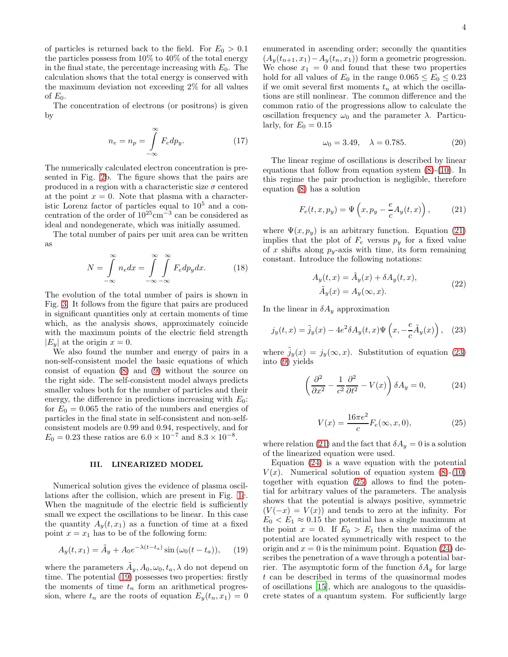of particles is returned back to the field. For  $E_0 > 0.1$ the particles possess from 10% to 40% of the total energy in the final state, the percentage increasing with  $E_0$ . The calculation shows that the total energy is conserved with the maximum deviation not exceeding 2% for all values of  $E_0$ .

The concentration of electrons (or positrons) is given by

<span id="page-3-6"></span>
$$
n_e = n_p = \int_{-\infty}^{\infty} F_e dp_y.
$$
 (17)

The numerically calculated electron concentration is presented in Fig. [2b](#page-4-0). The figure shows that the pairs are produced in a region with a characteristic size  $\sigma$  centered at the point  $x = 0$ . Note that plasma with a characteristic Lorenz factor of particles equal to  $10<sup>5</sup>$  and a concentration of the order of  $10^{25}$ cm<sup>-3</sup> can be considered as ideal and nondegenerate, which was initially assumed.

The total number of pairs per unit area can be written as

$$
N = \int_{-\infty}^{\infty} n_e dx = \int_{-\infty}^{\infty} \int_{-\infty}^{\infty} F_e dp_y dx.
$$
 (18)

The evolution of the total number of pairs is shown in Fig. [3.](#page-4-1) It follows from the figure that pairs are produced in significant quantities only at certain moments of time which, as the analysis shows, approximately coincide with the maximum points of the electric field strength  $|E_y|$  at the origin  $x = 0$ .

We also found the number and energy of pairs in a non-self-consistent model the basic equations of which consist of equation [\(8\)](#page-1-5) and [\(9\)](#page-1-4) without the source on the right side. The self-consistent model always predicts smaller values both for the number of particles and their energy, the difference in predictions increasing with  $E_0$ : for  $E_0 = 0.065$  the ratio of the numbers and energies of particles in the final state in self-consistent and non-selfconsistent models are 0.99 and 0.94, respectively, and for  $E_0 = 0.23$  these ratios are  $6.0 \times 10^{-7}$  and  $8.3 \times 10^{-8}$ .

## III. LINEARIZED MODEL

Numerical solution gives the evidence of plasma oscillations after the collision, which are present in Fig. [1c](#page-2-0). When the magnitude of the electric field is sufficiently small we expect the oscillations to be linear. In this case the quantity  $A_y(t, x_1)$  as a function of time at a fixed point  $x = x_1$  has to be of the following form:

<span id="page-3-0"></span>
$$
A_y(t, x_1) = \tilde{A}_y + A_0 e^{-\lambda(t - t_a)} \sin(\omega_0(t - t_a)), \quad (19)
$$

where the parameters  $\tilde{A}_y$ ,  $A_0$ ,  $\omega_0$ ,  $t_a$ ,  $\lambda$  do not depend on time. The potential [\(19\)](#page-3-0) possesses two properties: firstly the moments of time  $t_n$  form an arithmetical progression, where  $t_n$  are the roots of equation  $E_y(t_n, x_1) = 0$  enumerated in ascending order; secondly the quantities  $(A_y(t_{n+1}, x_1) - A_y(t_n, x_1))$  form a geometric progression. We chose  $x_1 = 0$  and found that these two properties hold for all values of  $E_0$  in the range  $0.065 \le E_0 \le 0.23$ if we omit several first moments  $t_n$  at which the oscillations are still nonlinear. The common difference and the common ratio of the progressions allow to calculate the oscillation frequency  $\omega_0$  and the parameter  $\lambda$ . Particularly, for  $E_0 = 0.15$ 

<span id="page-3-5"></span>
$$
\omega_0 = 3.49, \quad \lambda = 0.785. \tag{20}
$$

The linear regime of oscillations is described by linear equations that follow from equation system [\(8\)](#page-1-5)-[\(10\)](#page-1-6). In this regime the pair production is negligible, therefore equation [\(8\)](#page-1-5) has a solution

<span id="page-3-1"></span>
$$
F_e(t, x, p_y) = \Psi\left(x, p_y - \frac{e}{c}A_y(t, x)\right),\tag{21}
$$

where  $\Psi(x, p_y)$  is an arbitrary function. Equation [\(21\)](#page-3-1) implies that the plot of  $F_e$  versus  $p_y$  for a fixed value of x shifts along  $p_y$ -axis with time, its form remaining constant. Introduce the following notations:

$$
A_y(t, x) = \tilde{A}_y(x) + \delta A_y(t, x),
$$
  
\n
$$
\tilde{A}_y(x) = A_y(\infty, x).
$$
\n(22)

In the linear in  $\delta A_y$  approximation

<span id="page-3-2"></span>
$$
j_y(t,x) = \tilde{j}_y(x) - 4e^2 \delta A_y(t,x) \Psi \left(x, -\frac{e}{c} \tilde{A}_y(x)\right), \quad (23)
$$

where  $\tilde{j}_y(x) = j_y(\infty, x)$ . Substitution of equation [\(23\)](#page-3-2) into [\(9\)](#page-1-4) yields

<span id="page-3-3"></span>
$$
\left(\frac{\partial^2}{\partial x^2} - \frac{1}{c^2} \frac{\partial^2}{\partial t^2} - V(x)\right) \delta A_y = 0, \tag{24}
$$

<span id="page-3-4"></span>
$$
V(x) = \frac{16\pi e^2}{c} F_e(\infty, x, 0),
$$
 (25)

where relation [\(21\)](#page-3-1) and the fact that  $\delta A_y = 0$  is a solution of the linearized equation were used.

Equation [\(24\)](#page-3-3) is a wave equation with the potential  $V(x)$ . Numerical solution of equation system [\(8\)](#page-1-5)-[\(10\)](#page-1-6) together with equation [\(25\)](#page-3-4) allows to find the potential for arbitrary values of the parameters. The analysis shows that the potential is always positive, symmetric  $(V(-x) = V(x))$  and tends to zero at the infinity. For  $E_0 < E_1 \approx 0.15$  the potential has a single maximum at the point  $x = 0$ . If  $E_0 > E_1$  then the maxima of the potential are located symmetrically with respect to the origin and  $x = 0$  is the minimum point. Equation [\(24\)](#page-3-3) describes the penetration of a wave through a potential barrier. The asymptotic form of the function  $\delta A_y$  for large t can be described in terms of the quasinormal modes of oscillations [\[15\]](#page-6-13), which are analogous to the quasidiscrete states of a quantum system. For sufficiently large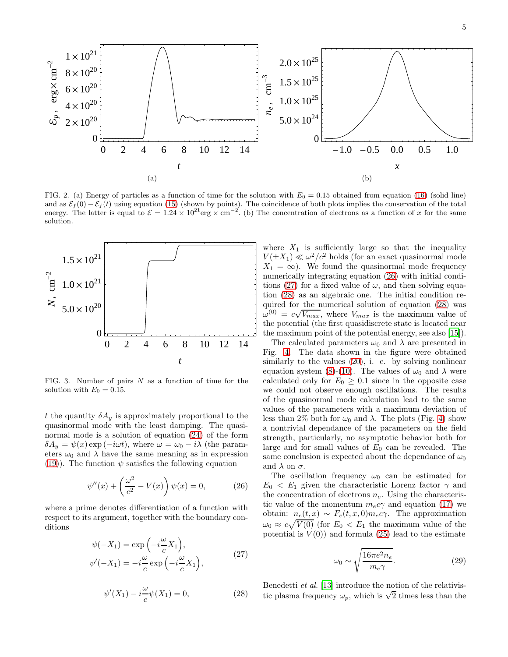

<span id="page-4-0"></span>FIG. 2. (a) Energy of particles as a function of time for the solution with  $E_0 = 0.15$  obtained from equation [\(16\)](#page-2-1) (solid line) and as  $\mathcal{E}_f(0) - \mathcal{E}_f(t)$  using equation [\(15\)](#page-2-2) (shown by points). The coincidence of both plots implies the conservation of the total energy. The latter is equal to  $\mathcal{E} = 1.24 \times 10^{21} \text{erg} \times \text{cm}^{-2}$ . (b) The concentration of electrons as a function of x for the same solution.



<span id="page-4-1"></span>FIG. 3. Number of pairs  $N$  as a function of time for the solution with  $E_0 = 0.15$ .

t the quantity  $\delta A_y$  is approximately proportional to the quasinormal mode with the least damping. The quasinormal mode is a solution of equation [\(24\)](#page-3-3) of the form  $\delta A_y = \psi(x) \exp(-i\omega t)$ , where  $\omega = \omega_0 - i\lambda$  (the parameters  $\omega_0$  and  $\lambda$  have the same meaning as in expression [\(19\)](#page-3-0)). The function  $\psi$  satisfies the following equation

<span id="page-4-2"></span>
$$
\psi''(x) + \left(\frac{\omega^2}{c^2} - V(x)\right)\psi(x) = 0,\tag{26}
$$

<span id="page-4-3"></span>where a prime denotes differentiation of a function with respect to its argument, together with the boundary conditions

$$
\psi(-X_1) = \exp\left(-i\frac{\omega}{c}X_1\right),\n\psi'(-X_1) = -i\frac{\omega}{c}\exp\left(-i\frac{\omega}{c}X_1\right),
$$
\n(27)

<span id="page-4-4"></span>
$$
\psi'(X_1) - i\frac{\omega}{c}\psi(X_1) = 0,\t(28)
$$

where  $X_1$  is sufficiently large so that the inequality  $V(\pm X_1) \ll \omega^2/c^2$  holds (for an exact quasinormal mode  $X_1 = \infty$ ). We found the quasinormal mode frequency numerically integrating equation [\(26\)](#page-4-2) with initial condi-tions [\(27\)](#page-4-3) for a fixed value of  $\omega$ , and then solving equation [\(28\)](#page-4-4) as an algebraic one. The initial condition required for the numerical solution of equation [\(28\)](#page-4-4) was  $\omega^{(0)} = c\sqrt{V_{max}}$ , where  $V_{max}$  is the maximum value of the potential (the first quasidiscrete state is located near the maximum point of the potential energy, see also [\[15\]](#page-6-13)).

The calculated parameters  $\omega_0$  and  $\lambda$  are presented in Fig. [4.](#page-5-0) The data shown in the figure were obtained similarly to the values [\(20\)](#page-3-5), i. e. by solving nonlinear equation system [\(8\)](#page-1-5)-[\(10\)](#page-1-6). The values of  $\omega_0$  and  $\lambda$  were calculated only for  $E_0 \geq 0.1$  since in the opposite case we could not observe enough oscillations. The results of the quasinormal mode calculation lead to the same values of the parameters with a maximum deviation of less than 2% both for  $\omega_0$  and  $\lambda$ . The plots (Fig. [4\)](#page-5-0) show a nontrivial dependance of the parameters on the field strength, particularly, no asymptotic behavior both for large and for small values of  $E_0$  can be revealed. The same conclusion is expected about the dependance of  $\omega_0$ and  $\lambda$  on  $\sigma$ .

The oscillation frequency  $\omega_0$  can be estimated for  $E_0 < E_1$  given the characteristic Lorenz factor  $\gamma$  and the concentration of electrons  $n_e$ . Using the characteristic value of the momentum  $m_e c \gamma$  and equation [\(17\)](#page-3-6) we obtain:  $n_e(t, x) \sim F_e(t, x, 0) m_e c \gamma$ . The approximation  $\omega_0 \approx c \sqrt{V(0)}$  (for  $E_0 < E_1$  the maximum value of the potential is  $V(0)$  and formula [\(25\)](#page-3-4) lead to the estimate

<span id="page-4-5"></span>
$$
\omega_0 \sim \sqrt{\frac{16\pi e^2 n_e}{m_e \gamma}}.\tag{29}
$$

Benedetti et al. [\[13](#page-6-10)] introduce the notion of the relativistic plasma frequency  $\omega_p$ , which is  $\sqrt{2}$  times less than the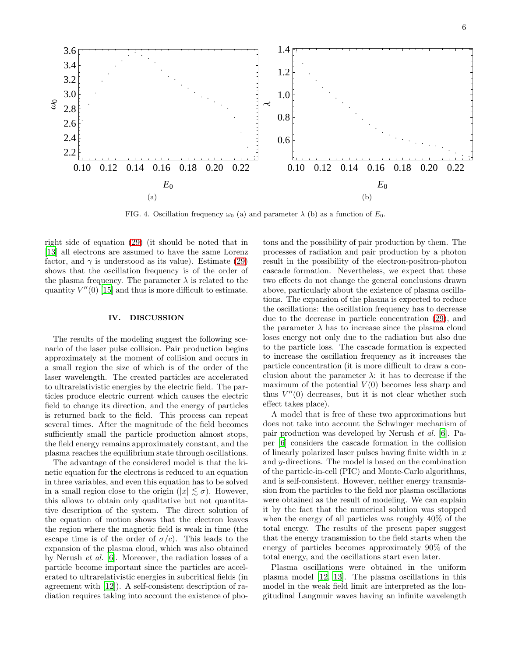

<span id="page-5-0"></span>FIG. 4. Oscillation frequency  $\omega_0$  (a) and parameter  $\lambda$  (b) as a function of  $E_0$ .

right side of equation [\(29\)](#page-4-5) (it should be noted that in [\[13\]](#page-6-10) all electrons are assumed to have the same Lorenz factor, and  $\gamma$  is understood as its value). Estimate [\(29\)](#page-4-5) shows that the oscillation frequency is of the order of the plasma frequency. The parameter  $\lambda$  is related to the quantity  $V''(0)$  [\[15](#page-6-13)] and thus is more difficult to estimate.

#### IV. DISCUSSION

The results of the modeling suggest the following scenario of the laser pulse collision. Pair production begins approximately at the moment of collision and occurs in a small region the size of which is of the order of the laser wavelength. The created particles are accelerated to ultrarelativistic energies by the electric field. The particles produce electric current which causes the electric field to change its direction, and the energy of particles is returned back to the field. This process can repeat several times. After the magnitude of the field becomes sufficiently small the particle production almost stops, the field energy remains approximately constant, and the plasma reaches the equilibrium state through oscillations.

The advantage of the considered model is that the kinetic equation for the electrons is reduced to an equation in three variables, and even this equation has to be solved in a small region close to the origin  $(|x| \leq \sigma)$ . However, this allows to obtain only qualitative but not quantitative description of the system. The direct solution of the equation of motion shows that the electron leaves the region where the magnetic field is weak in time (the escape time is of the order of  $\sigma/c$ . This leads to the expansion of the plasma cloud, which was also obtained by Nerush et al. [\[6\]](#page-6-4). Moreover, the radiation losses of a particle become important since the particles are accelerated to ultrarelativistic energies in subcritical fields (in agreement with [\[12\]](#page-6-12)). A self-consistent description of radiation requires taking into account the existence of pho-

tons and the possibility of pair production by them. The processes of radiation and pair production by a photon result in the possibility of the electron-positron-photon cascade formation. Nevertheless, we expect that these two effects do not change the general conclusions drawn above, particularly about the existence of plasma oscillations. The expansion of the plasma is expected to reduce the oscillations: the oscillation frequency has to decrease due to the decrease in particle concentration [\(29\)](#page-4-5), and the parameter  $\lambda$  has to increase since the plasma cloud loses energy not only due to the radiation but also due to the particle loss. The cascade formation is expected to increase the oscillation frequency as it increases the particle concentration (it is more difficult to draw a conclusion about the parameter  $\lambda$ : it has to decrease if the maximum of the potential  $V(0)$  becomes less sharp and thus  $V''(0)$  decreases, but it is not clear whether such effect takes place).

A model that is free of these two approximations but does not take into account the Schwinger mechanism of pair production was developed by Nerush et al. [\[6\]](#page-6-4). Paper [\[6](#page-6-4)] considers the cascade formation in the collision of linearly polarized laser pulses having finite width in  $x$ and y-directions. The model is based on the combination of the particle-in-cell (PIC) and Monte-Carlo algorithms, and is self-consistent. However, neither energy transmission from the particles to the field nor plasma oscillations were obtained as the result of modeling. We can explain it by the fact that the numerical solution was stopped when the energy of all particles was roughly 40% of the total energy. The results of the present paper suggest that the energy transmission to the field starts when the energy of particles becomes approximately 90% of the total energy, and the oscillations start even later.

Plasma oscillations were obtained in the uniform plasma model [\[12](#page-6-12), [13](#page-6-10)]. The plasma oscillations in this model in the weak field limit are interpreted as the longitudinal Langmuir waves having an infinite wavelength